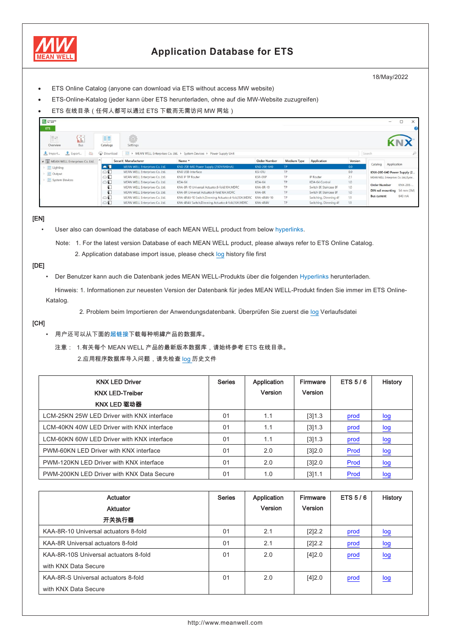

## **Application Database for ETS**

18/May/2022

- ETS Online Catalog (anyone can download via ETS without access MW website)
- ETS-Online-Katalog (jeder kann über ETS herunterladen, ohne auf die MW-Website zuzugreifen)
- ETS 在线目录(任何人都可以通过 ETS 下载而无需访问 MW 网站)

| ETS5 <sup>N</sup><br>ETS |                                |                 |                                |                                                                       |                     |                    |                         |                | $\Box$<br>$\times$<br>$\overline{\phantom{a}}$ |                                      |
|--------------------------|--------------------------------|-----------------|--------------------------------|-----------------------------------------------------------------------|---------------------|--------------------|-------------------------|----------------|------------------------------------------------|--------------------------------------|
| $\mathbb{H}$<br>Overview | $\Box$<br>Bus                  | 非<br>Catalogs   | Ö<br>Settings                  |                                                                       |                     |                    |                         |                |                                                |                                      |
| Import                   | 20<br>Export                   | <b>Download</b> |                                | > MEAN WELL Enterprises Co. Ltd. > System Devices > Power Supply Unit |                     |                    |                         |                | ₽<br>Search                                    |                                      |
|                          | MEAN WELL Enterprises Co. Ltd. |                 | Securit Manufacturer           | Name *                                                                | <b>Order Number</b> | <b>Medium Type</b> | Application             | Version        |                                                |                                      |
| Lighting                 |                                | $\blacksquare$  | MEAN WELL Enterprises Co. Ltd. | KNX-20E-640 Power Supply (230V/640mA)                                 | KNX-20E-640         | TP.                |                         | 0.0            | Catalog<br>Application                         |                                      |
| Output                   |                                | $\circ$         | MEAN WELL Enterprises Co. Ltd. | KNX USB-Interface                                                     | <b>KSI-01U</b>      | <b>TP</b>          |                         | 0.0            | KNX-20E-640 Power Supply (2                    |                                      |
|                          |                                | System Devices  | $\circ$                        | MEAN WELL Enterprises Co. Ltd.                                        | KNX IP TP Router    | KSR-01IP           | <b>TP</b>               | IP Router      | 2.1                                            | MEAN WELL Enterprises Co. Ltd./Syste |
|                          |                                |                 | $\circ$                        | MEAN WELL Enterprises Co. Ltd.                                        | $KDA-64$            | $KDA-64$           | TP.                     | KDA-64 Control | 1.0                                            |                                      |
|                          |                                | Ð               | MEAN WELL Enterprises Co. Ltd. | KAA-8R-10 Universal Actuator.8-fold.10A,MDRC                          | KAA-8R-10           | <b>TP</b>          | Switch 8f. Staircase 8f | 1.0            | KNX-20E-<br><b>Order Number</b>                |                                      |
|                          |                                | $\Box$          | MEAN WELL Enterprises Co. Ltd. | KAA-8R Universal Actuator.8-fold.16A.MDRC                             | KAA-8R              | TP.                | Switch 8f. Staircase 8f | 1.0            | DIN rail mounting 54 mm (3M)                   |                                      |
|                          |                                | $\circ$         | MEAN WELL Enterprises Co. Ltd. | KAA-4R4V-10 Switch, Dimming Actuator, 4-fold, 10A, MDRC               | KAA-4R4V-10         | <b>TP</b>          | Switching, Dimming 4f   | 1.1            | 640 mA<br><b>Bus</b> current                   |                                      |
|                          |                                | $\circ$         | MEAN WELL Enterprises Co. Ltd. | KAA-4R4V Switch, Dimming Actuator, 4-fold, 16A, MDRC                  | KAA-4R4V            | TP.                | Switching, Dimming 4f   | 1.1            |                                                |                                      |

## [EN]

User also can download the database of each MEAN WELL product from below hyperlinks.

Note: 1. For the latest version Database of each MEAN WELL product, please always refer to ETS Online Catalog.

2. Application database import issue, please check log history file first

## [DE]

• Der Benutzer kann auch die Datenbank jedes MEAN WELL-Produkts über die folgenden Hyperlinks herunterladen.

 Hinweis: 1. Informationen zur neuesten Version der Datenbank für jedes MEAN WELL-Produkt finden Sie immer im ETS Online-Katalog.

2. Problem beim Importieren der Anwendungsdatenbank. Überprüfen Sie zuerst die log Verlaufsdatei

## [CH]

- 用户还可以从下面的超链接下载每种明緯产品的数据库。
	- 注意: 1.有关每个 MEAN WELL 产品的最新版本数据库,请始终参考 ETS 在线目录。 2.应用程序数据库导入问题,请先检查 log 历史文件

| <b>KNX LED Driver</b><br><b>KNX LED-Treiber</b> | <b>Series</b>  | Application<br>Version | Firmware<br>Version | ETS 5/6 | <b>History</b>          |
|-------------------------------------------------|----------------|------------------------|---------------------|---------|-------------------------|
| KNX LED 驱动器                                     |                |                        |                     |         |                         |
| LCM-25KN 25W LED Driver with KNX interface      | 01             | 1.1                    | [3]1.3              | prod    | log                     |
| LCM-40KN 40W LED Driver with KNX interface      | 01             | 1.1                    | [3]1.3              | prod    | $\frac{\log{}}{\log{}}$ |
| LCM-60KN 60W LED Driver with KNX interface      | 0 <sub>1</sub> | 1.1                    | [3]1.3              | prod    | log                     |
| PWM-60KN LED Driver with KNX interface          | 0 <sub>1</sub> | 2.0                    | [3]2.0              | Prod    | log                     |
| PWM-120KN LED Driver with KNX interface         | 01             | 2.0                    | [3]2.0              | Prod    | log                     |
| PWM-200KN LED Driver with KNX Data Secure       | 01             | 1.0                    | [3]1.1              | Prod    | log                     |

| Actuator<br>Aktuator<br>开关执行器         | <b>Series</b> | Application<br>Version | Firmware<br>Version | <b>ETS 5/6</b> | <b>History</b>    |
|---------------------------------------|---------------|------------------------|---------------------|----------------|-------------------|
| KAA-8R-10 Universal actuators 8-fold  | 01            | 2.1                    | [2]2.2              | prod           | log               |
| KAA-8R Universal actuators 8-fold     | 01            | 2.1                    | [2]2.2              | prod           | $\overline{\log}$ |
| KAA-8R-10S Universal actuators 8-fold | 01            | 2.0                    | [4]2.0              | prod           | log               |
| with KNX Data Secure                  |               |                        |                     |                |                   |
| KAA-8R-S Universal actuators 8-fold   | 01            | 2.0                    | [4]2.0              | prod           | log               |
| with KNX Data Secure                  |               |                        |                     |                |                   |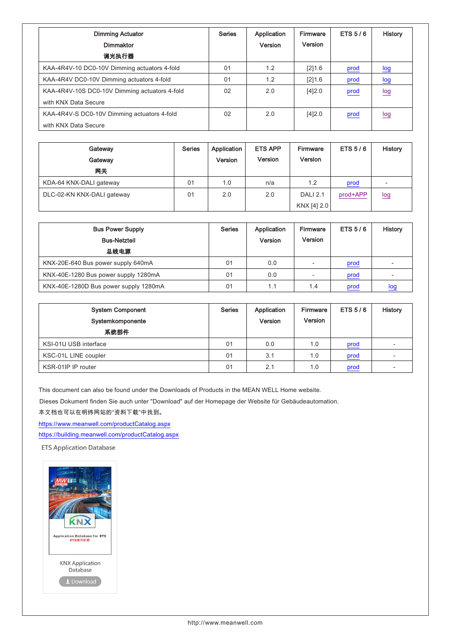| <b>Dimming Actuator</b><br><b>Dimmaktor</b>   | <b>Series</b> | Application<br>Version | Firmware<br>Version | ETS $5/6$ | <b>History</b>                |
|-----------------------------------------------|---------------|------------------------|---------------------|-----------|-------------------------------|
| 调光执行器                                         |               |                        |                     |           |                               |
| KAA-4R4V-10 DC0-10V Dimming actuators 4-fold  | 01            | 1.2                    | [2]1.6              | prod      | log                           |
| KAA-4R4V DC0-10V Dimming actuators 4-fold     | 01            | 1.2                    | [2]1.6              | prod      | $\overline{\underline{\log}}$ |
| KAA-4R4V-10S DC0-10V Dimming actuators 4-fold | 02            | 2.0                    | [4]2.0              | prod      | log                           |
| with KNX Data Secure                          |               |                        |                     |           |                               |
| KAA-4R4V-S DC0-10V Dimming actuators 4-fold   | 02            | 2.0                    | [4]2.0              | prod      | log                           |
| with KNX Data Secure                          |               |                        |                     |           |                               |

| Gateway<br>Gateway<br>网关   | <b>Series</b> | Application<br>Version | <b>ETS APP</b><br>Version | <b>Firmware</b><br>Version     | ETS $5/6$ | History |
|----------------------------|---------------|------------------------|---------------------------|--------------------------------|-----------|---------|
| KDA-64 KNX-DALI gateway    | 01            | 1.0                    | n/a                       | 1.2                            | prod      |         |
| DLC-02-KN KNX-DALI gateway | 01            | 2.0                    | 2.0                       | <b>DALI 2.1</b><br>KNX [4] 2.0 | prod+APP  | log     |

| <b>Bus Power Supply</b><br><b>Bus-Netzteil</b><br>总线电源 | <b>Series</b> | Application<br>Version | Firmware<br>Version | ETS $5/6$ | <b>History</b> |
|--------------------------------------------------------|---------------|------------------------|---------------------|-----------|----------------|
| KNX-20E-640 Bus power supply 640mA                     | 01            | 0.0                    |                     | prod      |                |
| KNX-40E-1280 Bus power supply 1280mA                   | 01            | 0.0                    |                     | prod      |                |
| KNX-40E-1280D Bus power supply 1280mA                  | 01            | 1.1                    | 1.4                 | prod      | log            |

| <b>System Component</b><br>Systemkomponente<br>系统部件 | <b>Series</b> | Application<br>Version | Firmware<br>Version | ETS $5/6$ | <b>History</b> |
|-----------------------------------------------------|---------------|------------------------|---------------------|-----------|----------------|
| KSI-01U USB interface                               | 01            | 0.0                    | 1.0                 | prod      |                |
| KSC-01L LINE coupler                                | 01            | 3.1                    | 1.0                 | prod      |                |
| KSR-01IP IP router                                  | 01            | 2.1                    | 1.0                 | prod      |                |

This document can also be found under the Downloads of Products in the MEAN WELL Home website.

Dieses Dokument finden Sie auch unter "Download" auf der Homepage der Website für Gebäudeautomation.

本文档也可以在明纬网站的"资料下载"中找到。

<https://www.meanwell.com/productCatalog.aspx>

<https://building.meanwell.com/productCatalog.aspx>

**ETS Application Database**